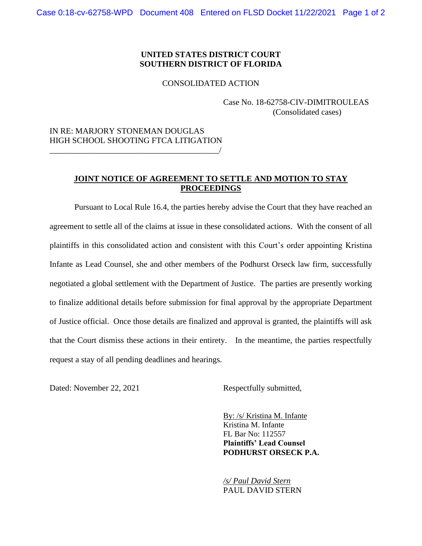## **UNITED STATES DISTRICT COURT SOUTHERN DISTRICT OF FLORIDA**

## CONSOLIDATED ACTION

Case No. 18-62758-CIV-DIMITROULEAS (Consolidated cases)

## IN RE: MARJORY STONEMAN DOUGLAS HIGH SCHOOL SHOOTING FTCA LITIGATION \_\_\_\_\_\_\_\_\_\_\_\_\_\_\_\_\_\_\_\_\_\_\_\_\_\_\_\_\_\_\_\_\_\_\_\_\_\_\_\_\_/

## **JOINT NOTICE OF AGREEMENT TO SETTLE AND MOTION TO STAY PROCEEDINGS**

Pursuant to Local Rule 16.4, the parties hereby advise the Court that they have reached an agreement to settle all of the claims at issue in these consolidated actions. With the consent of all plaintiffs in this consolidated action and consistent with this Court's order appointing Kristina Infante as Lead Counsel, she and other members of the Podhurst Orseck law firm, successfully negotiated a global settlement with the Department of Justice. The parties are presently working to finalize additional details before submission for final approval by the appropriate Department of Justice official. Once those details are finalized and approval is granted, the plaintiffs will ask that the Court dismiss these actions in their entirety. In the meantime, the parties respectfully request a stay of all pending deadlines and hearings.

Dated: November 22, 2021 Respectfully submitted,

By: /s/ Kristina M. Infante Kristina M. Infante FL Bar No: 112557 **Plaintiffs' Lead Counsel PODHURST ORSECK P.A.** 

*/s/ Paul David Stern*  PAUL DAVID STERN